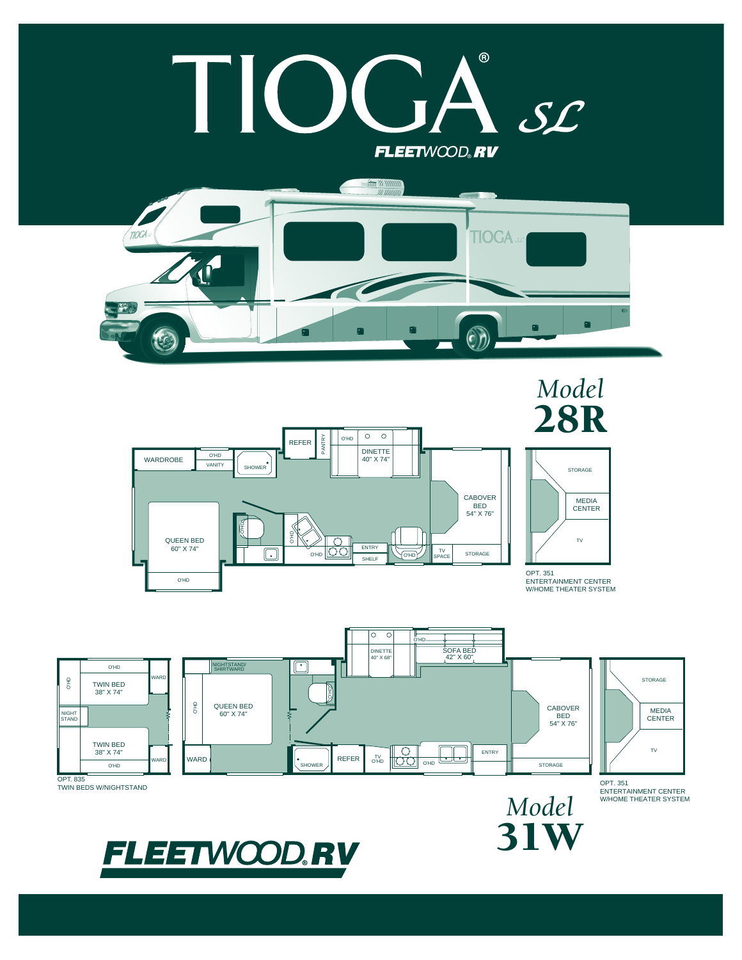## $^{\circ}$ I.  $SL$ FLEETWOOD®RV









ENTERTAINMENT CENTER W/HOME THEATER SYSTEM

31W